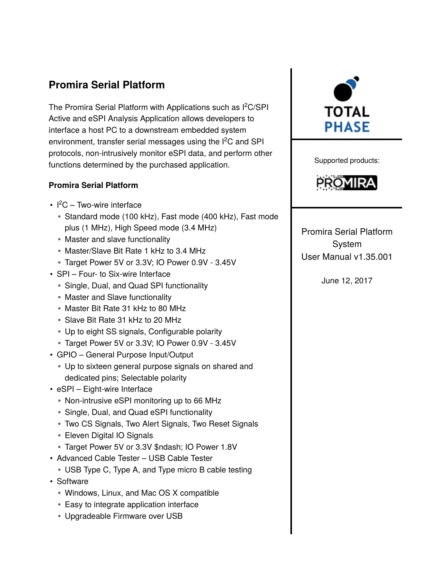# **Promira Serial Platform**

The Promira Serial Platform with Applications such as I<sup>2</sup>C/SPI Active and eSPI Analysis Application allows developers to interface a host PC to a downstream embedded system environment, transfer serial messages using the I<sup>2</sup>C and SPI protocols, non-intrusively monitor eSPI data, and perform other functions determined by the purchased application.

# **Promira Serial Platform**

- $l^2C$  Two-wire interface
	- Standard mode (100 kHz), Fast mode (400 kHz), Fast mode plus (1 MHz), High Speed mode (3.4 MHz)
	- Master and slave functionality
	- Master/Slave Bit Rate 1 kHz to 3.4 MHz
	- Target Power 5V or 3.3V; IO Power 0.9V 3.45V
- SPI Four- to Six-wire Interface
	- Single, Dual, and Quad SPI functionality
	- Master and Slave functionality
	- Master Bit Rate 31 kHz to 80 MHz
	- Slave Bit Rate 31 kHz to 20 MHz
	- Up to eight SS signals, Configurable polarity
	- Target Power 5V or 3.3V; IO Power 0.9V 3.45V
- GPIO General Purpose Input/Output
	- Up to sixteen general purpose signals on shared and dedicated pins; Selectable polarity
- eSPI Eight-wire Interface
	- Non-intrusive eSPI monitoring up to 66 MHz
	- Single, Dual, and Quad eSPI functionality
	- Two CS Signals, Two Alert Signals, Two Reset Signals
	- Eleven Digital IO Signals
	- Target Power 5V or 3.3V \$ndash; IO Power 1.8V
- Advanced Cable Tester USB Cable Tester
	- USB Type C, Type A, and Type micro B cable testing
- Software
	- Windows, Linux, and Mac OS X compatible
	- Easy to integrate application interface
	- Upgradeable Firmware over USB



Supported products:



Promira Serial Platform System User Manual v1.35.001

June 12, 2017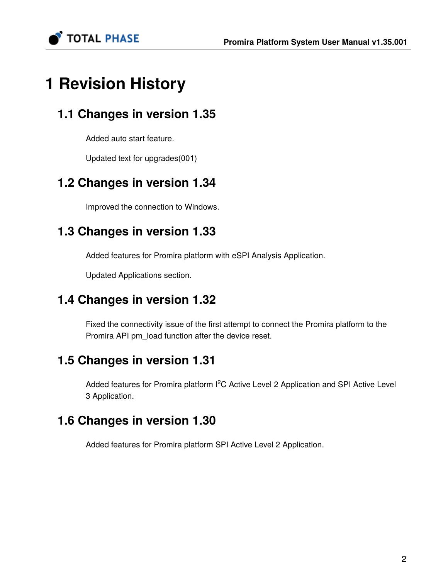TOTAL PHASE

# **1 Revision History**

# **1.1 Changes in version 1.35**

Added auto start feature.

Updated text for upgrades(001)

# **1.2 Changes in version 1.34**

Improved the connection to Windows.

# **1.3 Changes in version 1.33**

Added features for Promira platform with eSPI Analysis Application.

Updated Applications section.

# **1.4 Changes in version 1.32**

Fixed the connectivity issue of the first attempt to connect the Promira platform to the Promira API pm\_load function after the device reset.

# **1.5 Changes in version 1.31**

Added features for Promira platform I<sup>2</sup>C Active Level 2 Application and SPI Active Level 3 Application.

# **1.6 Changes in version 1.30**

Added features for Promira platform SPI Active Level 2 Application.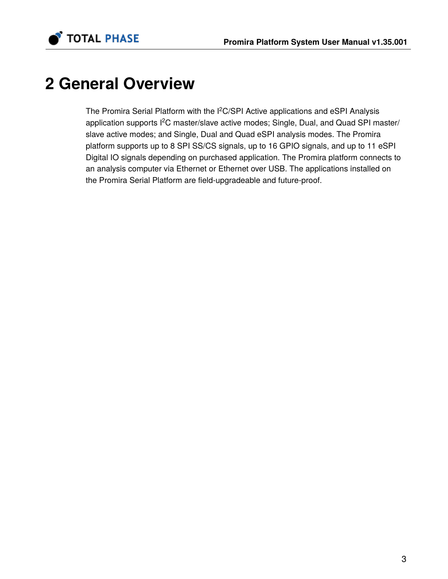



# **2 General Overview**

The Promira Serial Platform with the I<sup>2</sup>C/SPI Active applications and eSPI Analysis application supports I<sup>2</sup>C master/slave active modes; Single, Dual, and Quad SPI master/ slave active modes; and Single, Dual and Quad eSPI analysis modes. The Promira platform supports up to 8 SPI SS/CS signals, up to 16 GPIO signals, and up to 11 eSPI Digital IO signals depending on purchased application. The Promira platform connects to an analysis computer via Ethernet or Ethernet over USB. The applications installed on the Promira Serial Platform are field-upgradeable and future-proof.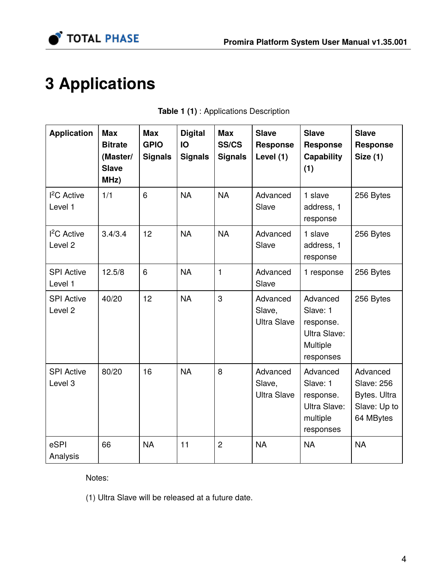

# **3 Applications**

| <b>Application</b>                      | <b>Max</b><br><b>Bitrate</b><br>(Master/<br><b>Slave</b><br>MHz) | <b>Max</b><br><b>GPIO</b><br><b>Signals</b> | <b>Digital</b><br>IO<br><b>Signals</b> | <b>Max</b><br><b>SS/CS</b><br><b>Signals</b> | <b>Slave</b><br>Response<br>Level (1)    | <b>Slave</b><br><b>Response</b><br>Capability<br>(1)                       | <b>Slave</b><br><b>Response</b><br><b>Size (1)</b>                         |
|-----------------------------------------|------------------------------------------------------------------|---------------------------------------------|----------------------------------------|----------------------------------------------|------------------------------------------|----------------------------------------------------------------------------|----------------------------------------------------------------------------|
| <sup>2</sup> C Active<br>Level 1        | 1/1                                                              | 6                                           | <b>NA</b>                              | <b>NA</b>                                    | Advanced<br>Slave                        | 1 slave<br>address, 1<br>response                                          | 256 Bytes                                                                  |
| $I2C$ Active<br>Level <sub>2</sub>      | 3.4/3.4                                                          | 12                                          | <b>NA</b>                              | <b>NA</b>                                    | Advanced<br>Slave                        | 1 slave<br>address, 1<br>response                                          | 256 Bytes                                                                  |
| <b>SPI Active</b><br>Level 1            | 12.5/8                                                           | 6                                           | <b>NA</b>                              | $\mathbf{1}$                                 | Advanced<br>Slave                        | 1 response                                                                 | 256 Bytes                                                                  |
| <b>SPI Active</b><br>Level <sub>2</sub> | 40/20                                                            | 12                                          | <b>NA</b>                              | 3                                            | Advanced<br>Slave,<br><b>Ultra Slave</b> | Advanced<br>Slave: 1<br>response.<br>Ultra Slave:<br>Multiple<br>responses | 256 Bytes                                                                  |
| <b>SPI Active</b><br>Level 3            | 80/20                                                            | 16                                          | <b>NA</b>                              | 8                                            | Advanced<br>Slave,<br><b>Ultra Slave</b> | Advanced<br>Slave: 1<br>response.<br>Ultra Slave:<br>multiple<br>responses | Advanced<br><b>Slave: 256</b><br>Bytes. Ultra<br>Slave: Up to<br>64 MBytes |
| eSPI<br>Analysis                        | 66                                                               | <b>NA</b>                                   | 11                                     | $\overline{2}$                               | <b>NA</b>                                | <b>NA</b>                                                                  | <b>NA</b>                                                                  |

|  | Table 1 (1) : Applications Description |  |
|--|----------------------------------------|--|
|  |                                        |  |

Notes:

(1) Ultra Slave will be released at a future date.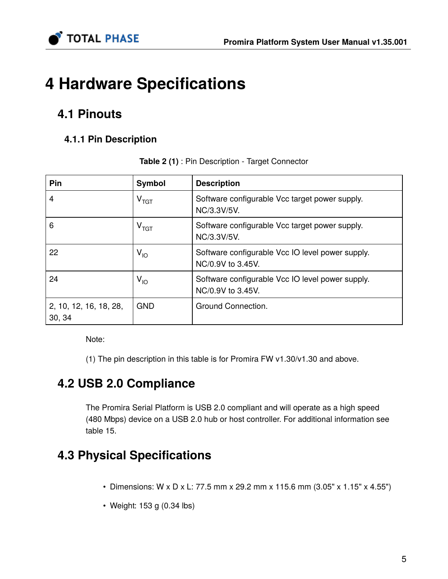

# **4 Hardware Specifications**

# **4.1 Pinouts**

# **4.1.1 Pin Description**

| Pin                              | Symbol                      | <b>Description</b>                                                    |
|----------------------------------|-----------------------------|-----------------------------------------------------------------------|
| 4                                | $V_{\rm TGT}$               | Software configurable Vcc target power supply.<br>NC/3.3V/5V.         |
| 6                                | $\mathsf{v}_{\mathsf{TGT}}$ | Software configurable Vcc target power supply.<br>NC/3.3V/5V.         |
| 22                               | V <sub>IO</sub>             | Software configurable Vcc IO level power supply.<br>NC/0.9V to 3.45V. |
| 24                               | V <sub>IO</sub>             | Software configurable Vcc IO level power supply.<br>NC/0.9V to 3.45V. |
| 2, 10, 12, 16, 18, 28,<br>30, 34 | <b>GND</b>                  | Ground Connection.                                                    |

**Table 2 (1)** : Pin Description - Target Connector

Note:

(1) The pin description in this table is for Promira FW v1.30/v1.30 and above.

# **4.2 USB 2.0 Compliance**

The Promira Serial Platform is USB 2.0 compliant and will operate as a high speed (480 Mbps) device on a USB 2.0 hub or host controller. For additional information see table 15.

# **4.3 Physical Specifications**

- Dimensions: W x D x L: 77.5 mm x 29.2 mm x 115.6 mm (3.05" x 1.15" x 4.55")
- Weight: 153 g (0.34 lbs)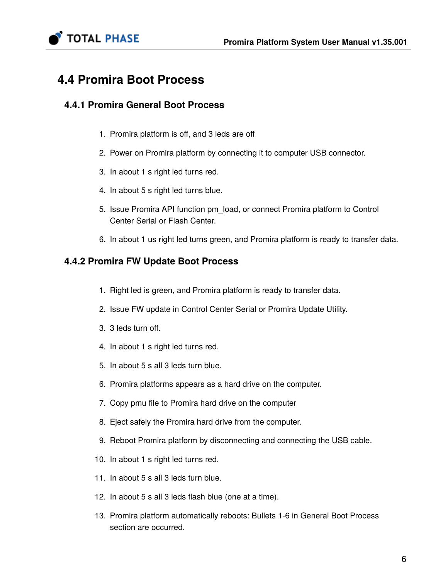

# **4.4 Promira Boot Process**

# **4.4.1 Promira General Boot Process**

- 1. Promira platform is off, and 3 leds are off
- 2. Power on Promira platform by connecting it to computer USB connector.
- 3. In about 1 s right led turns red.
- 4. In about 5 s right led turns blue.
- 5. Issue Promira API function pm\_load, or connect Promira platform to Control Center Serial or Flash Center.
- 6. In about 1 us right led turns green, and Promira platform is ready to transfer data.

# **4.4.2 Promira FW Update Boot Process**

- 1. Right led is green, and Promira platform is ready to transfer data.
- 2. Issue FW update in Control Center Serial or Promira Update Utility.
- 3. 3 leds turn off.
- 4. In about 1 s right led turns red.
- 5. In about 5 s all 3 leds turn blue.
- 6. Promira platforms appears as a hard drive on the computer.
- 7. Copy pmu file to Promira hard drive on the computer
- 8. Eject safely the Promira hard drive from the computer.
- 9. Reboot Promira platform by disconnecting and connecting the USB cable.
- 10. In about 1 s right led turns red.
- 11. In about 5 s all 3 leds turn blue.
- 12. In about 5 s all 3 leds flash blue (one at a time).
- 13. Promira platform automatically reboots: Bullets 1-6 in General Boot Process section are occurred.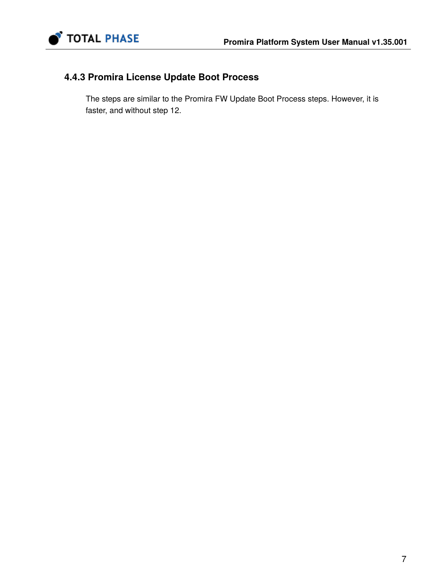

# **4.4.3 Promira License Update Boot Process**

The steps are similar to the Promira FW Update Boot Process steps. However, it is faster, and without step 12.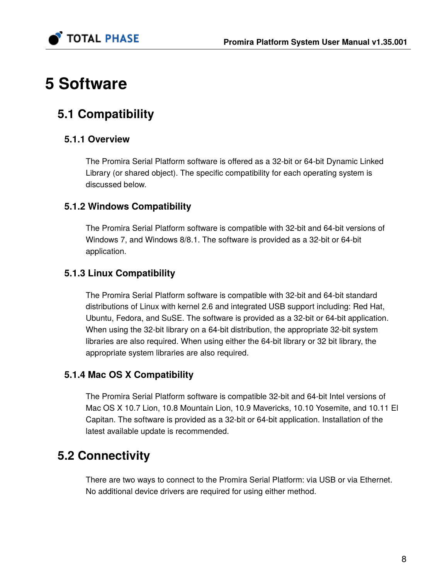

# **5 Software**

# **5.1 Compatibility**

# **5.1.1 Overview**

The Promira Serial Platform software is offered as a 32-bit or 64-bit Dynamic Linked Library (or shared object). The specific compatibility for each operating system is discussed below.

# **5.1.2 Windows Compatibility**

The Promira Serial Platform software is compatible with 32-bit and 64-bit versions of Windows 7, and Windows 8/8.1. The software is provided as a 32-bit or 64-bit application.

# **5.1.3 Linux Compatibility**

The Promira Serial Platform software is compatible with 32-bit and 64-bit standard distributions of Linux with kernel 2.6 and integrated USB support including: Red Hat, Ubuntu, Fedora, and SuSE. The software is provided as a 32-bit or 64-bit application. When using the 32-bit library on a 64-bit distribution, the appropriate 32-bit system libraries are also required. When using either the 64-bit library or 32 bit library, the appropriate system libraries are also required.

# **5.1.4 Mac OS X Compatibility**

The Promira Serial Platform software is compatible 32-bit and 64-bit Intel versions of Mac OS X 10.7 Lion, 10.8 Mountain Lion, 10.9 Mavericks, 10.10 Yosemite, and 10.11 El Capitan. The software is provided as a 32-bit or 64-bit application. Installation of the latest available update is recommended.

# **5.2 Connectivity**

There are two ways to connect to the Promira Serial Platform: via USB or via Ethernet. No additional device drivers are required for using either method.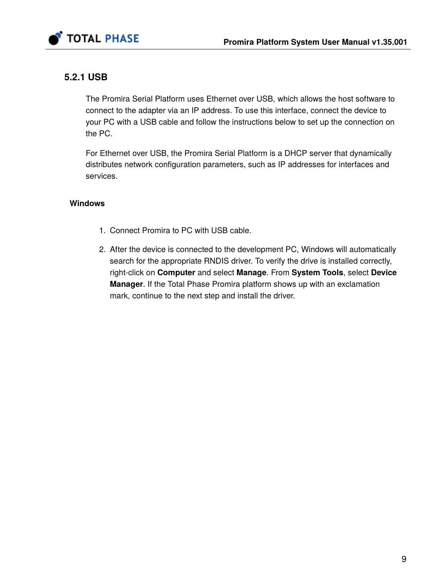

# **5.2.1 USB**

The Promira Serial Platform uses Ethernet over USB, which allows the host software to connect to the adapter via an IP address. To use this interface, connect the device to your PC with a USB cable and follow the instructions below to set up the connection on the PC.

For Ethernet over USB, the Promira Serial Platform is a DHCP server that dynamically distributes network configuration parameters, such as IP addresses for interfaces and services.

# **Windows**

- 1. Connect Promira to PC with USB cable.
- 2. After the device is connected to the development PC, Windows will automatically search for the appropriate RNDIS driver. To verify the drive is installed correctly, right-click on **Computer** and select **Manage**. From **System Tools**, select **Device Manager**. If the Total Phase Promira platform shows up with an exclamation mark, continue to the next step and install the driver.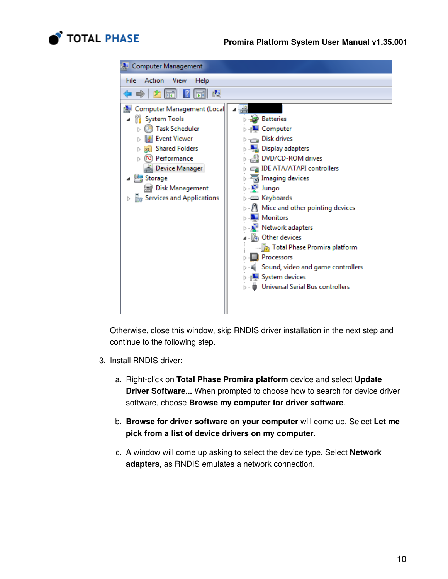



Otherwise, close this window, skip RNDIS driver installation in the next step and continue to the following step.

- 3. Install RNDIS driver:
	- a. Right-click on **Total Phase Promira platform** device and select **Update Driver Software...** When prompted to choose how to search for device driver software, choose **Browse my computer for driver software**.
	- b. **Browse for driver software on your computer** will come up. Select **Let me pick from a list of device drivers on my computer**.
	- c. A window will come up asking to select the device type. Select **Network adapters**, as RNDIS emulates a network connection.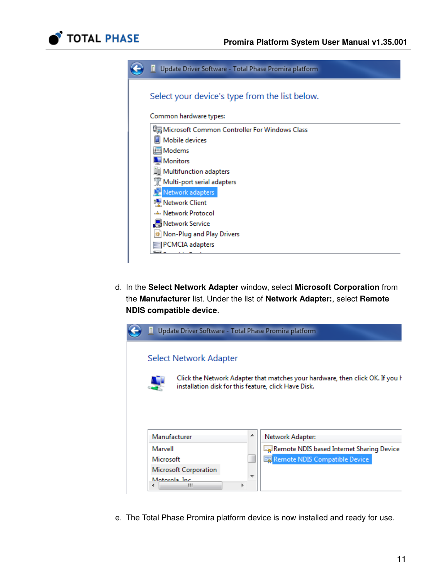

| m<br>Update Driver Software - Total Phase Promira platform |
|------------------------------------------------------------|
| Select your device's type from the list below.             |
|                                                            |
| Common hardware types:                                     |
| Microsoft Common Controller For Windows Class              |
| Mobile devices                                             |
| Modems                                                     |
| <b>Monitors</b>                                            |
| <b>II</b> Multifunction adapters                           |
| Multi-port serial adapters                                 |
| <b>LE</b> Network adapters                                 |
| Network Client                                             |
| - Network Protocol                                         |
| <b>A</b> Network Service                                   |
| Non-Plug and Play Drivers                                  |
| PCMCIA adapters                                            |
|                                                            |

d. In the **Select Network Adapter** window, select **Microsoft Corporation** from the **Manufacturer** list. Under the list of **Network Adapter:**, select **Remote NDIS compatible device**.



e. The Total Phase Promira platform device is now installed and ready for use.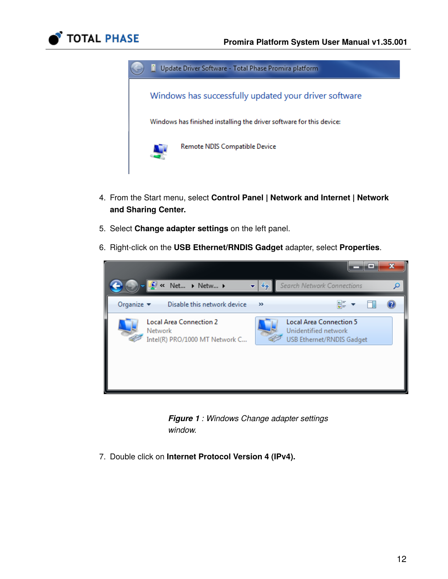



- 4. From the Start menu, select **Control Panel | Network and Internet | Network and Sharing Center.**
- 5. Select **Change adapter settings** on the left panel.
- 6. Right-click on the **USB Ethernet/RNDIS Gadget** adapter, select **Properties**.



*Figure 1 : Windows Change adapter settings window.* 

7. Double click on **Internet Protocol Version 4 (IPv4).**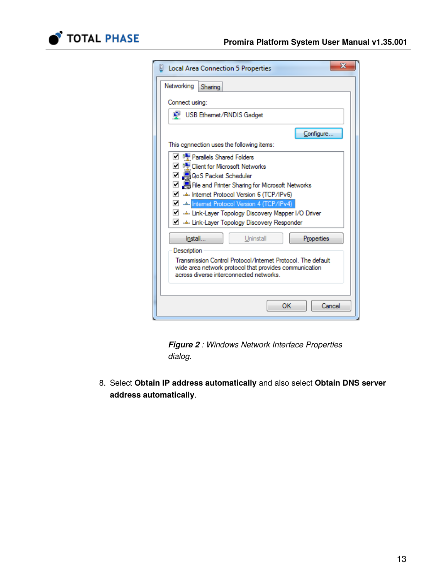

| x<br>Local Area Connection 5 Properties                                                                                                                                                                                                                                                                                                              |  |  |  |
|------------------------------------------------------------------------------------------------------------------------------------------------------------------------------------------------------------------------------------------------------------------------------------------------------------------------------------------------------|--|--|--|
| Networking<br>Sharing                                                                                                                                                                                                                                                                                                                                |  |  |  |
| Connect using:                                                                                                                                                                                                                                                                                                                                       |  |  |  |
| USB Ethemet/RNDIS Gadget                                                                                                                                                                                                                                                                                                                             |  |  |  |
| Configure.<br>This connection uses the following items:                                                                                                                                                                                                                                                                                              |  |  |  |
| Parallels Shared Folders<br>□ • Client for Microsoft Networks<br>□ ■ QoS Packet Scheduler<br>☑ ■ File and Printer Sharing for Microsoft Networks<br>▿<br>Internet Protocol Version 6 (TCP/IPv6)<br><b>M A</b> internet Protocol Version 4 (TCP/IPv4)<br>J Link-Layer Topology Discovery Mapper I/O Driver<br>Link-Layer Topology Discovery Responder |  |  |  |
| Uninstall<br>Install<br>Properties<br>Description                                                                                                                                                                                                                                                                                                    |  |  |  |
| Transmission Control Protocol/Internet Protocol. The default<br>wide area network protocol that provides communication<br>across diverse interconnected networks.                                                                                                                                                                                    |  |  |  |
| OK<br>Cancel                                                                                                                                                                                                                                                                                                                                         |  |  |  |



8. Select **Obtain IP address automatically** and also select **Obtain DNS server address automatically**.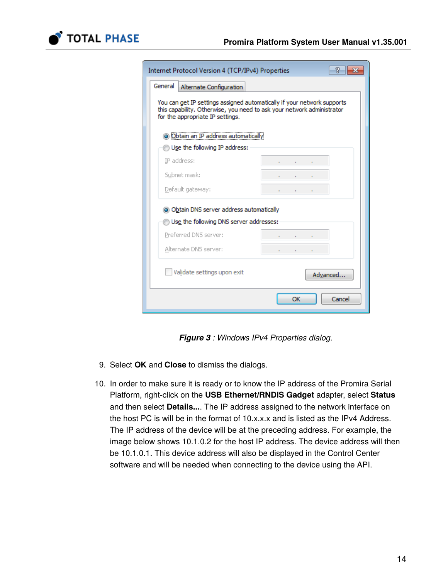

| Internet Protocol Version 4 (TCP/IPv4) Properties                                                                                                                                     | R                 |  |  |  |
|---------------------------------------------------------------------------------------------------------------------------------------------------------------------------------------|-------------------|--|--|--|
| General<br>Alternate Configuration                                                                                                                                                    |                   |  |  |  |
| You can get IP settings assigned automatically if your network supports<br>this capability. Otherwise, you need to ask your network administrator<br>for the appropriate IP settings. |                   |  |  |  |
| O Obtain an IP address automatically                                                                                                                                                  |                   |  |  |  |
| Use the following IP address:                                                                                                                                                         |                   |  |  |  |
| IP address:                                                                                                                                                                           |                   |  |  |  |
| Subnet mask:                                                                                                                                                                          |                   |  |  |  |
| Default gateway:                                                                                                                                                                      | <b>Contractor</b> |  |  |  |
| • Obtain DNS server address automatically                                                                                                                                             |                   |  |  |  |
| Use the following DNS server addresses:                                                                                                                                               |                   |  |  |  |
| Preferred DNS server:                                                                                                                                                                 |                   |  |  |  |
| Alternate DNS server:                                                                                                                                                                 |                   |  |  |  |
| Validate settings upon exit                                                                                                                                                           | Advanced          |  |  |  |
|                                                                                                                                                                                       | OK<br>Cancel      |  |  |  |

*Figure 3 : Windows IPv4 Properties dialog.*

- 9. Select **OK** and **Close** to dismiss the dialogs.
- 10. In order to make sure it is ready or to know the IP address of the Promira Serial Platform, right-click on the **USB Ethernet/RNDIS Gadget** adapter, select **Status** and then select **Details...**. The IP address assigned to the network interface on the host PC is will be in the format of 10.x.x.x and is listed as the IPv4 Address. The IP address of the device will be at the preceding address. For example, the image below shows 10.1.0.2 for the host IP address. The device address will then be 10.1.0.1. This device address will also be displayed in the Control Center software and will be needed when connecting to the device using the API.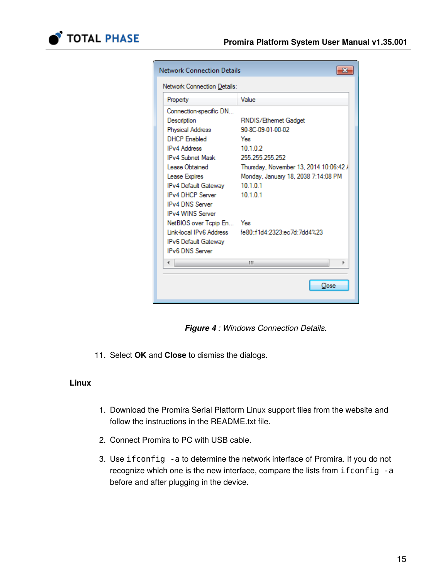

| <b>Network Connection Details</b> |                                        |  |  |  |
|-----------------------------------|----------------------------------------|--|--|--|
| Network Connection Details:       |                                        |  |  |  |
| Property                          | Value                                  |  |  |  |
| Connection-specific DN            |                                        |  |  |  |
| Description                       | RNDIS/Ethemet Gadget                   |  |  |  |
| <b>Physical Address</b>           | 90-8C-09-01-00-02                      |  |  |  |
| <b>DHCP Enabled</b>               | Yes                                    |  |  |  |
| <b>IPv4 Address</b>               | 10102                                  |  |  |  |
| <b>IPv4 Subnet Mask</b>           | 255 255 255 252                        |  |  |  |
| Lease Obtained                    | Thursday, November 13, 2014 10:06:42 / |  |  |  |
| Lease Expires                     | Monday, January 18, 2038 7:14:08 PM    |  |  |  |
| IPv4 Default Gatewav              | 10101                                  |  |  |  |
| <b>IPv4 DHCP Server</b>           | 10.10.1                                |  |  |  |
| <b>IPv4 DNS Server</b>            |                                        |  |  |  |
| <b>IPv4 WINS Server</b>           |                                        |  |  |  |
| NetBIOS over Topip En Yes         |                                        |  |  |  |
| Link-local IPv6 Address           | fe80:f1d4:2323:ec7d:7dd4%23            |  |  |  |
| IPv6 Default Gatewav              |                                        |  |  |  |
| <b>IPv6 DNS Server</b>            |                                        |  |  |  |
| ∢                                 | ш                                      |  |  |  |
|                                   |                                        |  |  |  |
|                                   | Close                                  |  |  |  |
|                                   |                                        |  |  |  |

*Figure 4 : Windows Connection Details.*

11. Select **OK** and **Close** to dismiss the dialogs.

### **Linux**

- 1. Download the Promira Serial Platform Linux support files from the website and follow the instructions in the README.txt file.
- 2. Connect Promira to PC with USB cable.
- 3. Use ifconfig -a to determine the network interface of Promira. If you do not recognize which one is the new interface, compare the lists from ifconfig -a before and after plugging in the device.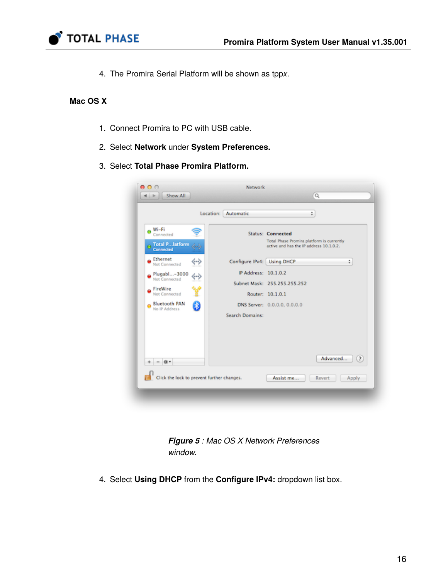

4. The Promira Serial Platform will be shown as tpp*x*.

# **Mac OS X**

- 1. Connect Promira to PC with USB cable.
- 2. Select **Network** under **System Preferences.**
- 3. Select **Total Phase Promira Platform.**

|                                                               | Location: Automatic        | ÷                                                                                                                |          |
|---------------------------------------------------------------|----------------------------|------------------------------------------------------------------------------------------------------------------|----------|
| Wi-Fi<br>Ä<br>Connected<br>Total Platform<br><b>Connected</b> |                            | <b>Status: Connected</b><br>Total Phase Promira platform is currently<br>active and has the IP address 10.1.0.2. |          |
| Ethernet<br>↔<br>Not Connected                                | Configure IPv4: Using DHCP |                                                                                                                  | ÷        |
| Plugabl-3000<br>$\Leftrightarrow$                             | IP Address: 10.1.0.2       |                                                                                                                  |          |
| Not Connected<br>FireWire                                     |                            | Subnet Mask: 255.255.255.252                                                                                     |          |
| ؇ۣ<br>Not Connected                                           |                            | Router: 10.1.0.1                                                                                                 |          |
| Ð<br>Bluetooth PAN<br>No IP Address                           |                            | DNS Server: 0.0.0.0, 0.0.0.0                                                                                     |          |
|                                                               | Search Domains:            |                                                                                                                  |          |
| $ \mathbf{D}$ v                                               |                            |                                                                                                                  | Advanced |
| Click the lock to prevent further changes.                    |                            | Assist me<br>Revert                                                                                              | Apply    |

*Figure 5 : Mac OS X Network Preferences window.* 

4. Select **Using DHCP** from the **Configure IPv4:** dropdown list box.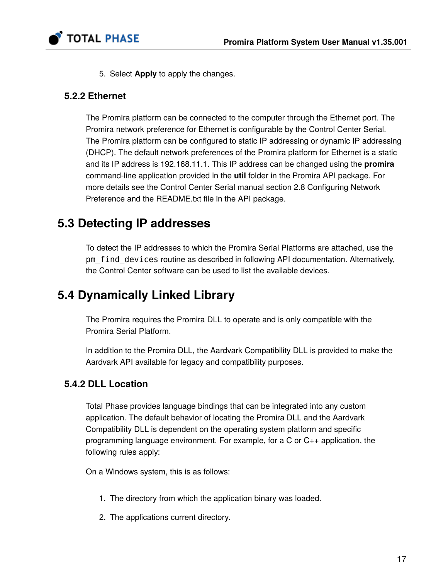

5. Select **Apply** to apply the changes.

# <span id="page-16-0"></span>**5.2.2 Ethernet**

The Promira platform can be connected to the computer through the Ethernet port. The Promira network preference for Ethernet is configurable by the Control Center Serial. The Promira platform can be configured to static IP addressing or dynamic IP addressing (DHCP). The default network preferences of the Promira platform for Ethernet is a static and its IP address is 192.168.11.1. This IP address can be changed using the **promira** command-line application provided in the **util** folder in the Promira API package. For more details see the Control Center Serial manual section 2.8 Configuring Network Preference and the README.txt file in the API package.

# **5.3 Detecting IP addresses**

To detect the IP addresses to which the Promira Serial Platforms are attached, use the pm find devices routine as described in following API documentation. Alternatively, the Control Center software can be used to list the available devices.

# **5.4 Dynamically Linked Library**

The Promira requires the Promira DLL to operate and is only compatible with the Promira Serial Platform.

In addition to the Promira DLL, the Aardvark Compatibility DLL is provided to make the Aardvark API available for legacy and compatibility purposes.

# **5.4.2 DLL Location**

Total Phase provides language bindings that can be integrated into any custom application. The default behavior of locating the Promira DLL and the Aardvark Compatibility DLL is dependent on the operating system platform and specific programming language environment. For example, for a C or C++ application, the following rules apply:

On a Windows system, this is as follows:

- 1. The directory from which the application binary was loaded.
- 2. The applications current directory.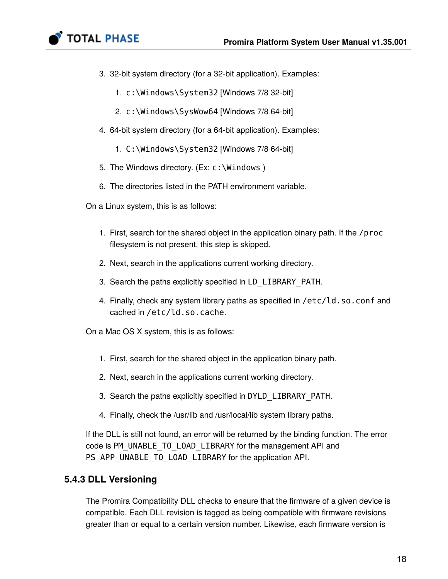

- 3. 32-bit system directory (for a 32-bit application). Examples:
	- 1. c:\Windows\System32 [Windows 7/8 32-bit]
	- 2. c:\Windows\SysWow64 [Windows 7/8 64-bit]
- 4. 64-bit system directory (for a 64-bit application). Examples:
	- 1. C:\Windows\System32 [Windows 7/8 64-bit]
- 5. The Windows directory. (Ex: c:\Windows )
- 6. The directories listed in the PATH environment variable.
- On a Linux system, this is as follows:
	- 1. First, search for the shared object in the application binary path. If the /proc filesystem is not present, this step is skipped.
	- 2. Next, search in the applications current working directory.
	- 3. Search the paths explicitly specified in LD\_LIBRARY\_PATH.
	- 4. Finally, check any system library paths as specified in /etc/ld.so.conf and cached in /etc/ld.so.cache.

On a Mac OS X system, this is as follows:

- 1. First, search for the shared object in the application binary path.
- 2. Next, search in the applications current working directory.
- 3. Search the paths explicitly specified in DYLD\_LIBRARY\_PATH.
- 4. Finally, check the /usr/lib and /usr/local/lib system library paths.

If the DLL is still not found, an error will be returned by the binding function. The error code is PM\_UNABLE\_TO\_LOAD\_LIBRARY for the management API and PS\_APP\_UNABLE\_TO\_LOAD\_LIBRARY for the application API.

# **5.4.3 DLL Versioning**

The Promira Compatibility DLL checks to ensure that the firmware of a given device is compatible. Each DLL revision is tagged as being compatible with firmware revisions greater than or equal to a certain version number. Likewise, each firmware version is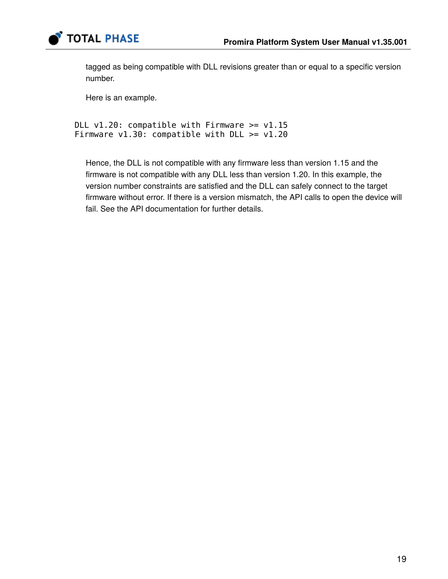

tagged as being compatible with DLL revisions greater than or equal to a specific version number.

Here is an example.

```
DLL v1.20: compatible with Firmware >= v1.15Firmware v1.30: compatible with DLL >= v1.20
```
Hence, the DLL is not compatible with any firmware less than version 1.15 and the firmware is not compatible with any DLL less than version 1.20. In this example, the version number constraints are satisfied and the DLL can safely connect to the target firmware without error. If there is a version mismatch, the API calls to open the device will fail. See the API documentation for further details.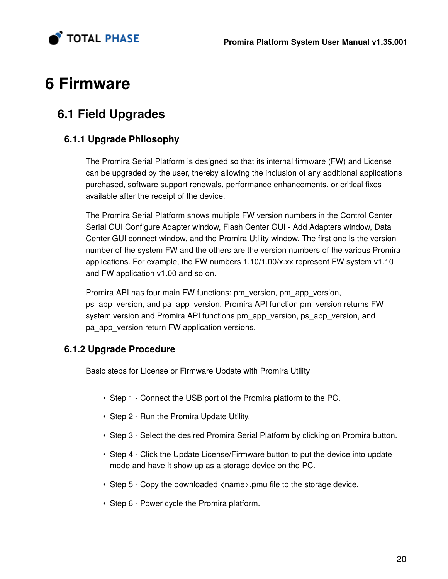

# **6 Firmware**

# **6.1 Field Upgrades**

# **6.1.1 Upgrade Philosophy**

The Promira Serial Platform is designed so that its internal firmware (FW) and License can be upgraded by the user, thereby allowing the inclusion of any additional applications purchased, software support renewals, performance enhancements, or critical fixes available after the receipt of the device.

The Promira Serial Platform shows multiple FW version numbers in the Control Center Serial GUI Configure Adapter window, Flash Center GUI - Add Adapters window, Data Center GUI connect window, and the Promira Utility window. The first one is the version number of the system FW and the others are the version numbers of the various Promira applications. For example, the FW numbers 1.10/1.00/x.xx represent FW system v1.10 and FW application v1.00 and so on.

Promira API has four main FW functions: pm\_version, pm\_app\_version, ps\_app\_version, and pa\_app\_version. Promira API function pm\_version returns FW system version and Promira API functions pm\_app\_version, ps\_app\_version, and pa\_app\_version return FW application versions.

# **6.1.2 Upgrade Procedure**

Basic steps for License or Firmware Update with Promira Utility

- Step 1 Connect the USB port of the Promira platform to the PC.
- Step 2 Run the Promira Update Utility.
- Step 3 Select the desired Promira Serial Platform by clicking on Promira button.
- Step 4 Click the Update License/Firmware button to put the device into update mode and have it show up as a storage device on the PC.
- Step 5 Copy the downloaded <name>.pmu file to the storage device.
- Step 6 Power cycle the Promira platform.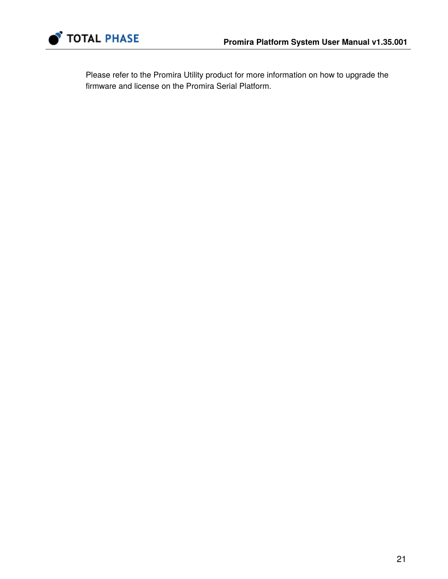

Please refer to the [Promira Utility](http://www.totalphase.com/products/promira-update-utility/) product for more information on how to upgrade the firmware and license on the Promira Serial Platform.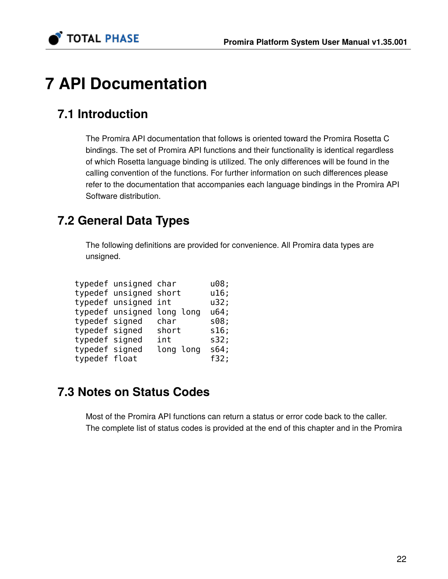

# **7 API Documentation**

# **7.1 Introduction**

The Promira API documentation that follows is oriented toward the Promira Rosetta C bindings. The set of Promira API functions and their functionality is identical regardless of which Rosetta language binding is utilized. The only differences will be found in the calling convention of the functions. For further information on such differences please refer to the documentation that accompanies each language bindings in the Promira API Software distribution.

# **7.2 General Data Types**

The following definitions are provided for convenience. All Promira data types are unsigned.

|                | typedef unsigned char  |                            | u08; |
|----------------|------------------------|----------------------------|------|
|                | typedef unsigned short |                            | u16; |
|                | typedef unsigned int   |                            | u32; |
|                |                        | typedef unsigned long long | u64; |
| typedef signed |                        | char                       | s08; |
| typedef signed |                        | short                      | s16; |
| typedef signed |                        | int                        | s32; |
| typedef signed |                        | long long                  | s64; |
| typedef float  |                        |                            | f32; |

# **7.3 Notes on Status Codes**

Most of the Promira API functions can return a status or error code back to the caller. The complete list of status codes is provided at the end of this chapter and in the Promira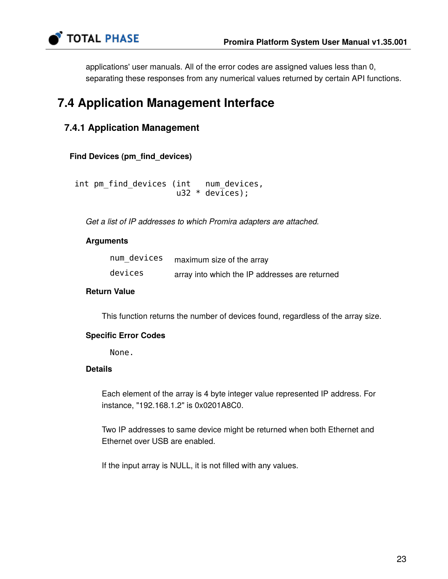

applications' user manuals. All of the error codes are assigned values less than 0, separating these responses from any numerical values returned by certain API functions.

# **7.4 Application Management Interface**

# **7.4.1 Application Management**

# **Find Devices (pm\_find\_devices)**

 int pm\_find\_devices (int num\_devices,  $u32 * devices$ ;

*Get a list of IP addresses to which Promira adapters are attached.*

# **Arguments**

| num devices | maximum size of the array                      |
|-------------|------------------------------------------------|
| devices     | array into which the IP addresses are returned |

### **Return Value**

This function returns the number of devices found, regardless of the array size.

# **Specific Error Codes**

None.

# **Details**

Each element of the array is 4 byte integer value represented IP address. For instance, "192.168.1.2" is 0x0201A8C0.

Two IP addresses to same device might be returned when both Ethernet and Ethernet over USB are enabled.

If the input array is NULL, it is not filled with any values.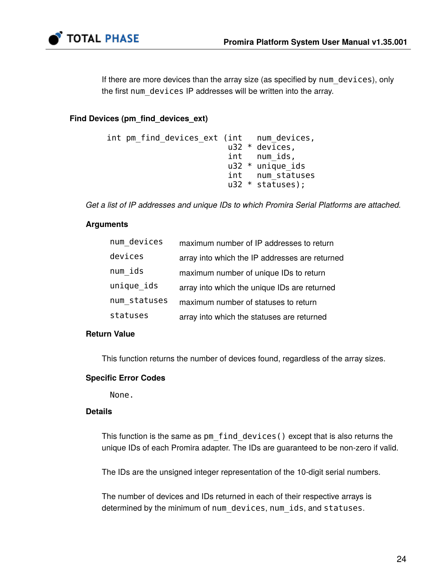

If there are more devices than the array size (as specified by num\_devices), only the first num devices IP addresses will be written into the array.

### **Find Devices (pm\_find\_devices\_ext)**

```
 int pm_find_devices_ext (int num_devices,
                          u32 * devices,
                          int num_ids,
                          u32 * unique_ids
                          int num_statuses
                          u32 * statuses);
```
*Get a list of IP addresses and unique IDs to which Promira Serial Platforms are attached.*

# **Arguments**

| num devices  | maximum number of IP addresses to return       |
|--------------|------------------------------------------------|
| devices      | array into which the IP addresses are returned |
| num ids      | maximum number of unique IDs to return         |
| unique ids   | array into which the unique IDs are returned   |
| num statuses | maximum number of statuses to return           |
| statuses     | array into which the statuses are returned     |

# **Return Value**

This function returns the number of devices found, regardless of the array sizes.

### **Specific Error Codes**

None.

### **Details**

This function is the same as pm\_find\_devices() except that is also returns the unique IDs of each Promira adapter. The IDs are guaranteed to be non-zero if valid.

The IDs are the unsigned integer representation of the 10-digit serial numbers.

The number of devices and IDs returned in each of their respective arrays is determined by the minimum of num devices, num ids, and statuses.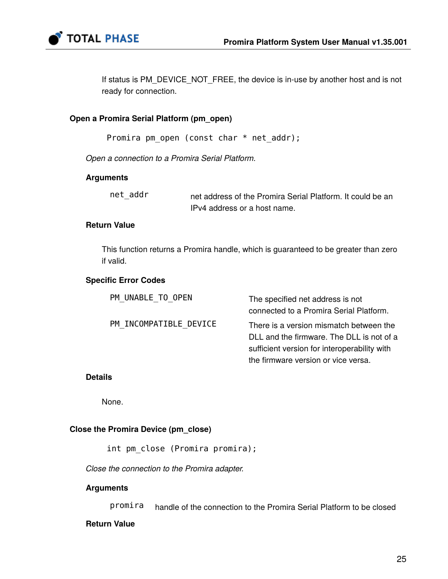

If status is PM\_DEVICE\_NOT\_FREE, the device is in-use by another host and is not ready for connection.

### **Open a Promira Serial Platform (pm\_open)**

Promira pm\_open (const char \* net\_addr);

*Open a connection to a Promira Serial Platform.*

### **Arguments**

net\_addr net address of the Promira Serial Platform. It could be an IPv4 address or a host name.

### **Return Value**

This function returns a Promira handle, which is guaranteed to be greater than zero if valid.

### **Specific Error Codes**

| PM UNABLE TO OPEN      | The specified net address is not<br>connected to a Promira Serial Platform.          |
|------------------------|--------------------------------------------------------------------------------------|
| PM INCOMPATIBLE DEVICE | There is a version mismatch between the<br>DLL and the firmware. The DLL is not of a |
|                        | sufficient version for interoperability with<br>the firmware version or vice versa.  |

#### **Details**

None.

#### **Close the Promira Device (pm\_close)**

int pm close (Promira promira);

*Close the connection to the Promira adapter.*

#### **Arguments**

promira handle of the connection to the Promira Serial Platform to be closed

### **Return Value**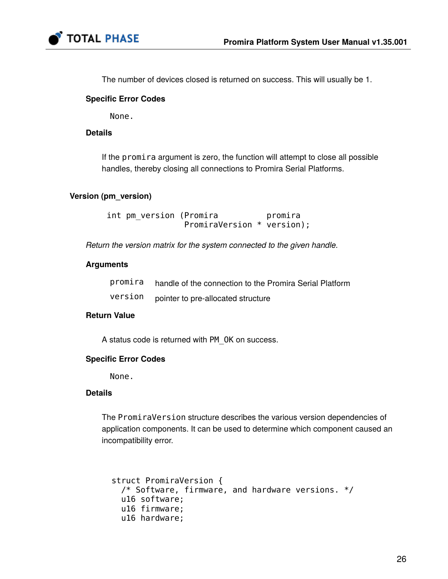

The number of devices closed is returned on success. This will usually be 1.

# **Specific Error Codes**

None.

# **Details**

If the promira argument is zero, the function will attempt to close all possible handles, thereby closing all connections to Promira Serial Platforms.

# **Version (pm\_version)**

int pm\_version (Promira bromira PromiraVersion \* version);

*Return the version matrix for the system connected to the given handle.*

### **Arguments**

| promira | handle of the connection to the Promira Serial Platform |
|---------|---------------------------------------------------------|
| version | pointer to pre-allocated structure                      |

# **Return Value**

A status code is returned with PM\_OK on success.

### **Specific Error Codes**

None.

### **Details**

The PromiraVersion structure describes the various version dependencies of application components. It can be used to determine which component caused an incompatibility error.

```
 struct PromiraVersion {
   /* Software, firmware, and hardware versions. */
   u16 software;
   u16 firmware;
   u16 hardware;
```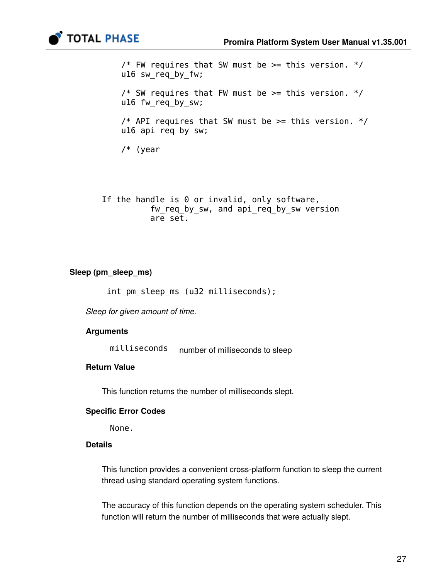

```
/* FW requires that SW must be >= this version. */
 u16 sw_req_by_fw;
/* SW requires that FW must be >= this version. */
 u16 fw_req_by_sw;
/* API requires that SW must be >= this version. */
 u16 api_req_by_sw;
 /* (year
```
If the handle is 0 or invalid, only software, fw req by sw, and api req by sw version are set.

# **Sleep (pm\_sleep\_ms)**

int pm\_sleep\_ms (u32 milliseconds);

*Sleep for given amount of time.*

### **Arguments**

milliseconds number of milliseconds to sleep

# **Return Value**

This function returns the number of milliseconds slept.

#### **Specific Error Codes**

None.

### **Details**

This function provides a convenient cross-platform function to sleep the current thread using standard operating system functions.

The accuracy of this function depends on the operating system scheduler. This function will return the number of milliseconds that were actually slept.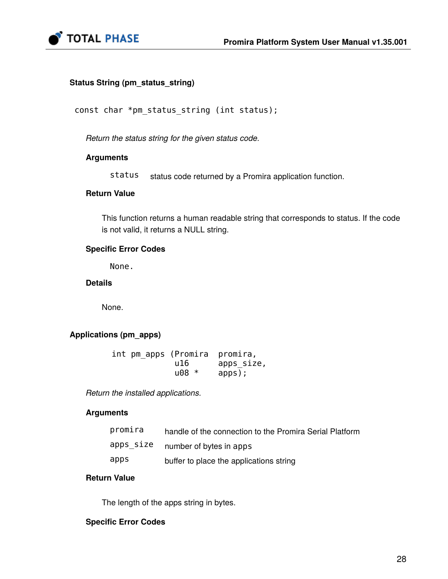

# **Status String (pm\_status\_string)**

const char \*pm\_status\_string (int status);

*Return the status string for the given status code.*

### **Arguments**

status status code returned by a Promira application function.

# **Return Value**

This function returns a human readable string that corresponds to status. If the code is not valid, it returns a NULL string.

# **Specific Error Codes**

None.

**Details**

None.

# **Applications (pm\_apps)**

|  |          | int pm_apps (Promira promira, |
|--|----------|-------------------------------|
|  | u16.     | apps size,                    |
|  | $1008 *$ | apps);                        |

*Return the installed applications.*

### **Arguments**

| promira   | handle of the connection to the Promira Serial Platform |
|-----------|---------------------------------------------------------|
| apps_size | number of bytes in apps                                 |
| apps      | buffer to place the applications string                 |

# **Return Value**

The length of the apps string in bytes.

### **Specific Error Codes**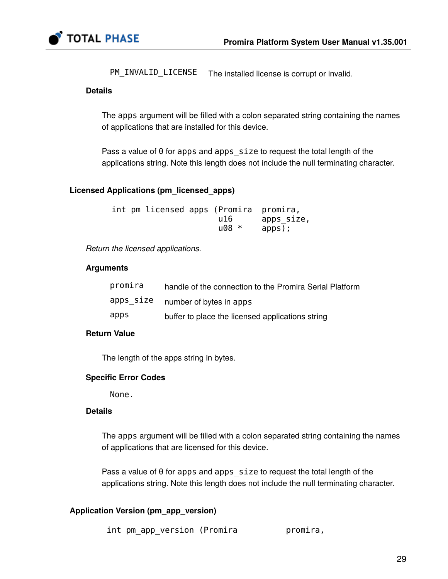

PM\_INVALID\_LICENSE The installed license is corrupt or invalid.

# **Details**

The apps argument will be filled with a colon separated string containing the names of applications that are installed for this device.

Pass a value of 0 for apps and apps size to request the total length of the applications string. Note this length does not include the null terminating character.

# **Licensed Applications (pm\_licensed\_apps)**

| int pm licensed apps (Promira promira, |          |            |
|----------------------------------------|----------|------------|
|                                        | u16.     | apps size, |
|                                        | $1008 *$ | apps);     |

*Return the licensed applications.*

# **Arguments**

| promira   | handle of the connection to the Promira Serial Platform |
|-----------|---------------------------------------------------------|
| apps size | number of bytes in apps                                 |
| apps      | buffer to place the licensed applications string        |

# **Return Value**

The length of the apps string in bytes.

# **Specific Error Codes**

None.

### **Details**

The apps argument will be filled with a colon separated string containing the names of applications that are licensed for this device.

Pass a value of 0 for apps and apps size to request the total length of the applications string. Note this length does not include the null terminating character.

# **Application Version (pm\_app\_version)**

int pm\_app\_version (Promira promira,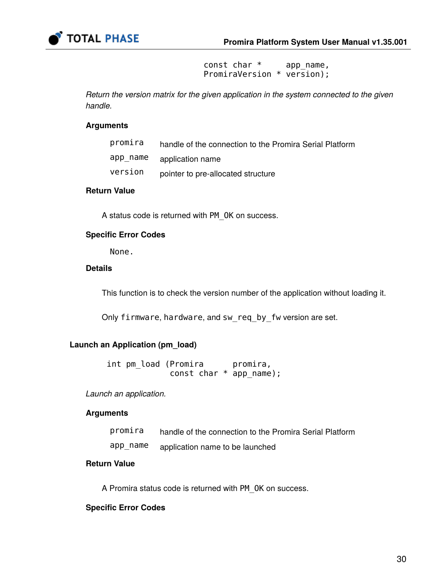

 const char \* app\_name, PromiraVersion \* version);

*Return the version matrix for the given application in the system connected to the given handle.*

#### **Arguments**

| promira  | handle of the connection to the Promira Serial Platform |
|----------|---------------------------------------------------------|
| app_name | application name                                        |
| version  | pointer to pre-allocated structure                      |

# **Return Value**

A status code is returned with PM\_OK on success.

#### **Specific Error Codes**

None.

## **Details**

This function is to check the version number of the application without loading it.

Only firmware, hardware, and sw req by fw version are set.

#### **Launch an Application (pm\_load)**

int pm\_load (Promira promira, const char \* app\_name);

*Launch an application.*

#### **Arguments**

| promira | handle of the connection to the Promira Serial Platform |
|---------|---------------------------------------------------------|
|---------|---------------------------------------------------------|

app\_name application name to be launched

# **Return Value**

A Promira status code is returned with PM\_OK on success.

#### **Specific Error Codes**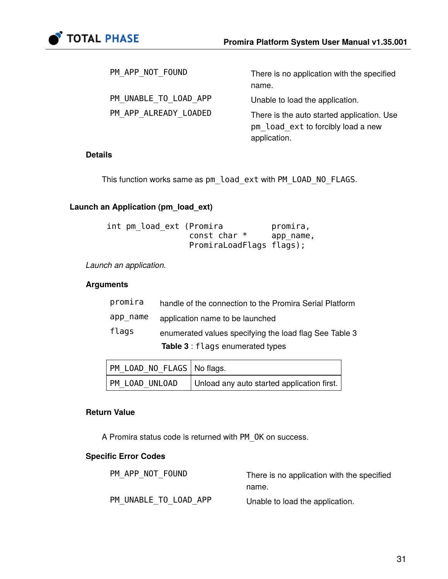

| PM APP NOT FOUND      | There is no application with the specified                                                       |
|-----------------------|--------------------------------------------------------------------------------------------------|
|                       | name.                                                                                            |
| PM UNABLE TO LOAD APP | Unable to load the application.                                                                  |
| PM APP ALREADY LOADED | There is the auto started application. Use<br>pm load ext to forcibly load a new<br>application. |

### **Details**

This function works same as pm\_load\_ext with PM\_LOAD\_NO\_FLAGS.

# **Launch an Application (pm\_load\_ext)**

| int pm load ext (Promira | promira,  |
|--------------------------|-----------|
| const char $*$           | app name, |
| PromiraLoadFlags flags); |           |

*Launch an application.*

# **Arguments**

|          | <b>Table 3: flags enumerated types</b>                  |
|----------|---------------------------------------------------------|
| flags    | enumerated values specifying the load flag See Table 3  |
| app name | application name to be launched                         |
| promira  | handle of the connection to the Promira Serial Platform |

| PM LOAD NO FLAGS   No flags. |                                            |
|------------------------------|--------------------------------------------|
| M LOAD UNLOAD                | Unload any auto started application first. |

### **Return Value**

A Promira status code is returned with PM\_OK on success.

# **Specific Error Codes**

| PM APP NOT FOUND      | There is no application with the specified |
|-----------------------|--------------------------------------------|
|                       | name.                                      |
| PM UNABLE TO LOAD APP | Unable to load the application.            |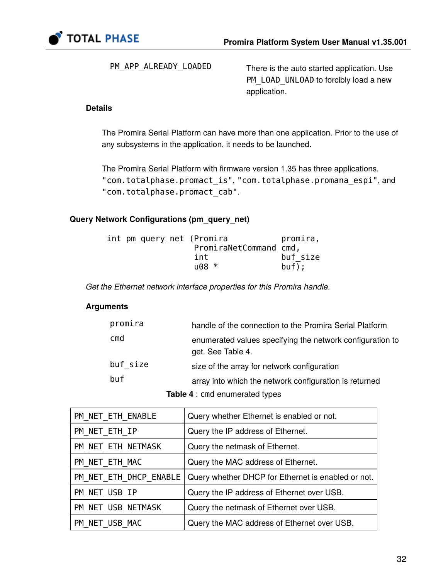

PM\_APP\_ALREADY\_LOADED There is the auto started application. Use PM\_LOAD\_UNLOAD to forcibly load a new application.

# **Details**

The Promira Serial Platform can have more than one application. Prior to the use of any subsystems in the application, it needs to be launched.

The Promira Serial Platform with firmware version 1.35 has three applications. "com.totalphase.promact\_is", "com.totalphase.promana\_espi", and "com.totalphase.promact\_cab".

# **Query Network Configurations (pm\_query\_net)**

| int pm query net (Promira | promira, |
|---------------------------|----------|
| PromiraNetCommand cmd,    |          |
| int                       | buf size |
| $1108 *$                  | buf);    |

*Get the Ethernet network interface properties for this Promira handle.*

### **Arguments**

| promira         | handle of the connection to the Promira Serial Platform                        |
|-----------------|--------------------------------------------------------------------------------|
| cm <sub>d</sub> | enumerated values specifying the network configuration to<br>get. See Table 4. |
| buf size        | size of the array for network configuration                                    |
| buf             | array into which the network configuration is returned                         |
|                 | <b>Table 4: cmd enumerated types</b>                                           |

| PM_NET_ETH_ENABLE      | Query whether Ethernet is enabled or not.          |
|------------------------|----------------------------------------------------|
| PM_NET_ETH_IP          | Query the IP address of Ethernet.                  |
| PM NET ETH NETMASK     | Query the netmask of Ethernet.                     |
| PM NET ETH MAC         | Query the MAC address of Ethernet.                 |
| PM_NET_ETH_DHCP ENABLE | Query whether DHCP for Ethernet is enabled or not. |
| PM_NET_USB_IP          | Query the IP address of Ethernet over USB.         |
| PM NET USB NETMASK     | Query the netmask of Ethernet over USB.            |
| PM NET USB MAC         | Query the MAC address of Ethernet over USB.        |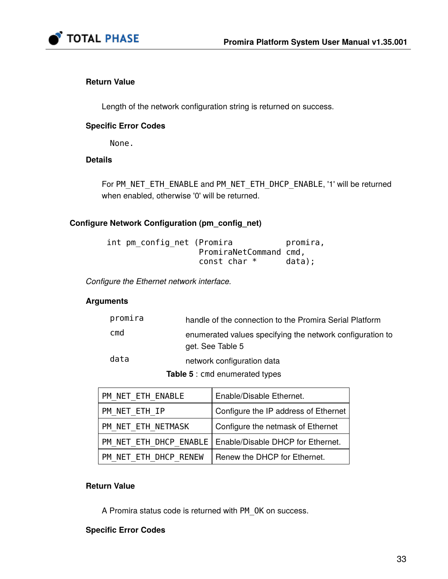

# **Return Value**

Length of the network configuration string is returned on success.

# **Specific Error Codes**

None.

# **Details**

For PM\_NET\_ETH\_ENABLE and PM\_NET\_ETH\_DHCP\_ENABLE, '1' will be returned when enabled, otherwise '0' will be returned.

# **Configure Network Configuration (pm\_config\_net)**

| int pm config net (Promira |                        | promira, |
|----------------------------|------------------------|----------|
|                            | PromiraNetCommand cmd, |          |
|                            | const char $*$         | data);   |

*Configure the Ethernet network interface.*

# **Arguments**

| promira | handle of the connection to the Promira Serial Platform                       |
|---------|-------------------------------------------------------------------------------|
| cmd     | enumerated values specifying the network configuration to<br>get. See Table 5 |
| data    | network configuration data                                                    |
|         |                                                                               |

**Table 5** : cmd enumerated types

| PM NET ETH ENABLE     | Enable/Disable Ethernet.                                   |
|-----------------------|------------------------------------------------------------|
| PM NET ETH IP         | Configure the IP address of Ethernet                       |
| PM NET ETH NETMASK    | Configure the netmask of Ethernet                          |
|                       | PM NET ETH DHCP ENABLE   Enable/Disable DHCP for Ethernet. |
| PM NET ETH DHCP RENEW | Renew the DHCP for Ethernet.                               |

### **Return Value**

A Promira status code is returned with PM\_OK on success.

# **Specific Error Codes**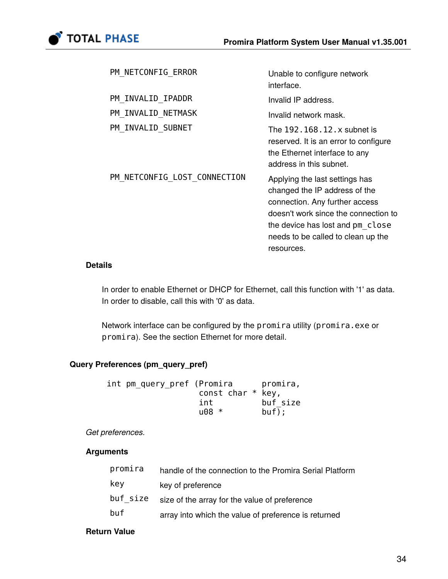

| PM NETCONFIG ERROR           | Unable to configure network<br>interface.                                                                                                                                                                                         |
|------------------------------|-----------------------------------------------------------------------------------------------------------------------------------------------------------------------------------------------------------------------------------|
| PM INVALID IPADDR            | Invalid IP address.                                                                                                                                                                                                               |
| PM INVALID NETMASK           | Invalid network mask.                                                                                                                                                                                                             |
| PM INVALID SUBNET            | The 192, 168, 12, x subnet is<br>reserved. It is an error to configure<br>the Ethernet interface to any<br>address in this subnet.                                                                                                |
| PM NETCONFIG LOST CONNECTION | Applying the last settings has<br>changed the IP address of the<br>connection. Any further access<br>doesn't work since the connection to<br>the device has lost and pm close<br>needs to be called to clean up the<br>resources. |

# **Details**

In order to enable Ethernet or DHCP for Ethernet, call this function with '1' as data. In order to disable, call this with '0' as data.

Network interface can be configured by the promira utility (promira.exe or promira). See the section [Ethernet](#page-16-0) for more detail.

# **Query Preferences (pm\_query\_pref)**

| int pm_query_pref (Promira |                     | promira, |
|----------------------------|---------------------|----------|
|                            | const char $*$ key, |          |
|                            | int                 | buf size |
|                            | $1008 *$            | buf);    |

*Get preferences.*

# **Arguments**

| promira  | handle of the connection to the Promira Serial Platform |
|----------|---------------------------------------------------------|
| key      | key of preference                                       |
| buf size | size of the array for the value of preference           |
| buf      | array into which the value of preference is returned    |

# **Return Value**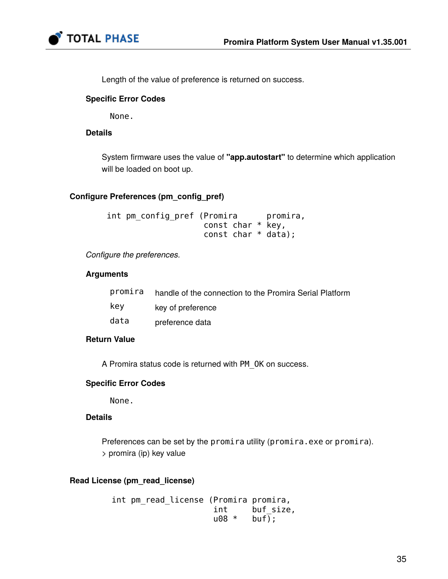

Length of the value of preference is returned on success.

# **Specific Error Codes**

None.

# **Details**

System firmware uses the value of **"app.autostart"** to determine which application will be loaded on boot up.

# **Configure Preferences (pm\_config\_pref)**

int pm\_config\_pref (Promira promira, const char \* key, const char \* data);

*Configure the preferences.*

# **Arguments**

| promira | handle of the connection to the Promira Serial Platform |
|---------|---------------------------------------------------------|
| key     | key of preference                                       |
| data    | preference data                                         |

# **Return Value**

A Promira status code is returned with PM\_OK on success.

# **Specific Error Codes**

None.

# **Details**

Preferences can be set by the promira utility (promira.exe or promira). > promira (ip) key value

# **Read License (pm\_read\_license)**

```
int pm read license (Promira promira,
                        int buf_size,<br>u08 * buf;
                        u08 *
```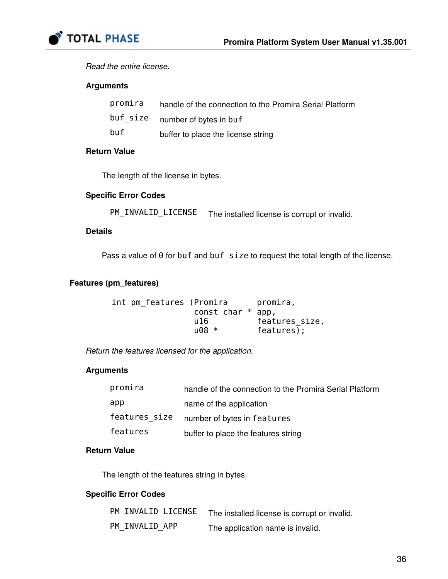

*Read the entire license.*

### **Arguments**

| promira  | handle of the connection to the Promira Serial Platform |
|----------|---------------------------------------------------------|
| buf size | number of bytes in buf                                  |
| buf      | buffer to place the license string                      |

# **Return Value**

The length of the license in bytes.

# **Specific Error Codes**

PM\_INVALID\_LICENSE The installed license is corrupt or invalid.

# **Details**

Pass a value of 0 for buf and buf\_size to request the total length of the license.

# **Features (pm\_features)**

```
int pm_features (Promira promira,
              const char * app,
 u16 features_size,
u08 * features);
```
*Return the features licensed for the application.*

# **Arguments**

| promira       | handle of the connection to the Promira Serial Platform |
|---------------|---------------------------------------------------------|
| app           | name of the application                                 |
| features size | number of bytes in features                             |
| features      | buffer to place the features string                     |

# **Return Value**

The length of the features string in bytes.

# **Specific Error Codes**

| PM INVALID LICENSE | The installed license is corrupt or invalid. |
|--------------------|----------------------------------------------|
| PM INVALID APP     | The application name is invalid.             |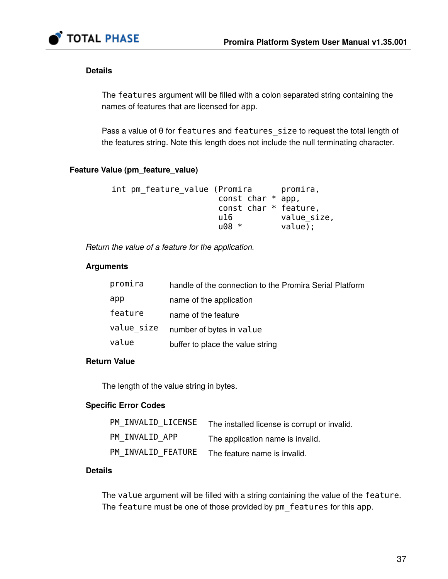

# **Details**

The features argument will be filled with a colon separated string containing the names of features that are licensed for app.

Pass a value of 0 for features and features\_size to request the total length of the features string. Note this length does not include the null terminating character.

# **Feature Value (pm\_feature\_value)**

```
int pm_feature_value (Promira promira,
                    const char * app,
                    const char * feature,
                    u16 value_size,
                    u08 * value);
```
*Return the value of a feature for the application.*

# **Arguments**

| promira    | handle of the connection to the Promira Serial Platform |
|------------|---------------------------------------------------------|
| app        | name of the application                                 |
| feature    | name of the feature                                     |
| value size | number of bytes in value                                |
| value      | buffer to place the value string                        |

### **Return Value**

The length of the value string in bytes.

# **Specific Error Codes**

| PM INVALID LICENSE | The installed license is corrupt or invalid. |
|--------------------|----------------------------------------------|
| PM INVALID APP     | The application name is invalid.             |
| PM INVALID FEATURE | The feature name is invalid.                 |

### **Details**

The value argument will be filled with a string containing the value of the feature. The feature must be one of those provided by pm features for this app.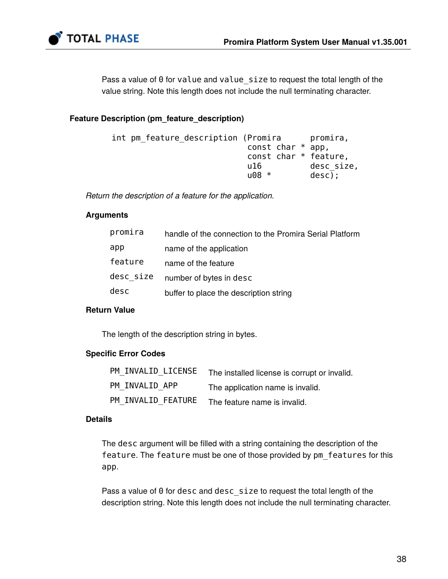

Pass a value of 0 for value and value\_size to request the total length of the value string. Note this length does not include the null terminating character.

# **Feature Description (pm\_feature\_description)**

| int pm feature description (Promira |          |                     | promira,              |
|-------------------------------------|----------|---------------------|-----------------------|
|                                     |          | const char $*$ app, |                       |
|                                     |          |                     | const char * feature, |
|                                     | u16.     |                     | desc size,            |
|                                     | $1108 *$ |                     | $desc)$ ;             |
|                                     |          |                     |                       |

*Return the description of a feature for the application.*

### **Arguments**

| promira   | handle of the connection to the Promira Serial Platform |
|-----------|---------------------------------------------------------|
| app       | name of the application                                 |
| feature   | name of the feature                                     |
| desc size | number of bytes in desc                                 |
| desc      | buffer to place the description string                  |

# **Return Value**

The length of the description string in bytes.

### **Specific Error Codes**

| PM INVALID LICENSE | The installed license is corrupt or invalid. |
|--------------------|----------------------------------------------|
| PM INVALID APP     | The application name is invalid.             |
| PM INVALID FEATURE | The feature name is invalid.                 |

### **Details**

The desc argument will be filled with a string containing the description of the feature. The feature must be one of those provided by pm\_features for this app.

Pass a value of 0 for desc and desc\_size to request the total length of the description string. Note this length does not include the null terminating character.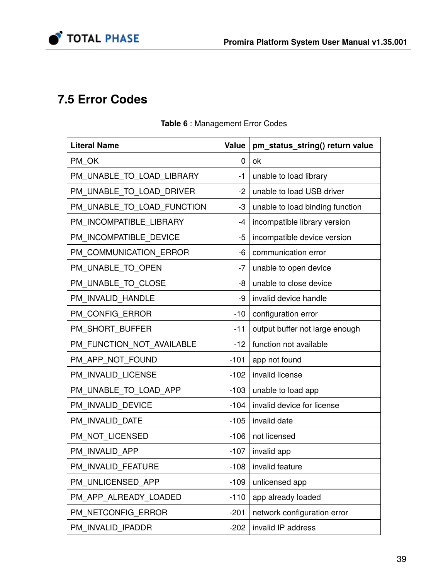

# **7.5 Error Codes**

| <b>Literal Name</b>        | <b>Value</b> | pm_status_string() return value |
|----------------------------|--------------|---------------------------------|
| PM_OK                      | $\mathbf 0$  | ok                              |
| PM_UNABLE_TO_LOAD_LIBRARY  | $-1$         | unable to load library          |
| PM_UNABLE_TO_LOAD_DRIVER   | $-2$         | unable to load USB driver       |
| PM_UNABLE_TO_LOAD_FUNCTION | -3           | unable to load binding function |
| PM INCOMPATIBLE LIBRARY    | $-4$         | incompatible library version    |
| PM INCOMPATIBLE DEVICE     | $-5$         | incompatible device version     |
| PM COMMUNICATION ERROR     | -6           | communication error             |
| PM UNABLE TO OPEN          | $-7$         | unable to open device           |
| PM_UNABLE_TO_CLOSE         | -8           | unable to close device          |
| PM_INVALID_HANDLE          | -9           | invalid device handle           |
| PM_CONFIG_ERROR            | $-10$        | configuration error             |
| PM_SHORT_BUFFER            | $-11$        | output buffer not large enough  |
| PM_FUNCTION_NOT_AVAILABLE  | $-12$        | function not available          |
| PM_APP_NOT_FOUND           | $-101$       | app not found                   |
| PM_INVALID_LICENSE         | $-102$       | invalid license                 |
| PM_UNABLE_TO_LOAD_APP      | $-103$       | unable to load app              |
| PM INVALID DEVICE          | $-104$       | invalid device for license      |
| PM INVALID DATE            | $-105$       | invalid date                    |
| PM_NOT_LICENSED            | $-106$       | not licensed                    |
| PM INVALID APP             | $-107$       | invalid app                     |
| PM INVALID FEATURE         | $-108$       | invalid feature                 |
| PM UNLICENSED APP          | $-109$       | unlicensed app                  |
| PM APP ALREADY LOADED      | $-110$       | app already loaded              |
| PM NETCONFIG ERROR         | $-201$       | network configuration error     |
| PM INVALID IPADDR          | $-202$       | invalid IP address              |

# **Table 6** : Management Error Codes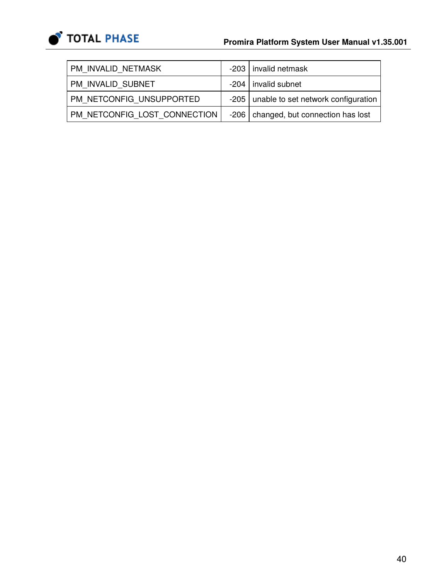

| PM INVALID NETMASK           | -203   invalid netmask                     |
|------------------------------|--------------------------------------------|
| PM INVALID SUBNET            | $-204$   invalid subnet                    |
| PM NETCONFIG UNSUPPORTED     | -205   unable to set network configuration |
| PM NETCONFIG LOST CONNECTION | -206   changed, but connection has lost    |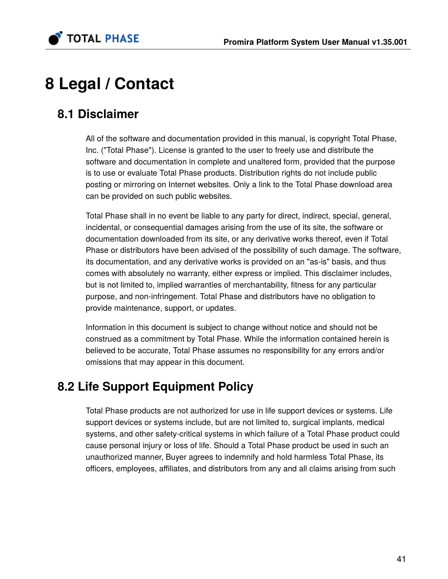

# **8 Legal / Contact**

# **8.1 Disclaimer**

All of the software and documentation provided in this manual, is copyright Total Phase, Inc. ("Total Phase"). License is granted to the user to freely use and distribute the software and documentation in complete and unaltered form, provided that the purpose is to use or evaluate Total Phase products. Distribution rights do not include public posting or mirroring on Internet websites. Only a link to the Total Phase download area can be provided on such public websites.

Total Phase shall in no event be liable to any party for direct, indirect, special, general, incidental, or consequential damages arising from the use of its site, the software or documentation downloaded from its site, or any derivative works thereof, even if Total Phase or distributors have been advised of the possibility of such damage. The software, its documentation, and any derivative works is provided on an "as-is" basis, and thus comes with absolutely no warranty, either express or implied. This disclaimer includes, but is not limited to, implied warranties of merchantability, fitness for any particular purpose, and non-infringement. Total Phase and distributors have no obligation to provide maintenance, support, or updates.

Information in this document is subject to change without notice and should not be construed as a commitment by Total Phase. While the information contained herein is believed to be accurate, Total Phase assumes no responsibility for any errors and/or omissions that may appear in this document.

# **8.2 Life Support Equipment Policy**

Total Phase products are not authorized for use in life support devices or systems. Life support devices or systems include, but are not limited to, surgical implants, medical systems, and other safety-critical systems in which failure of a Total Phase product could cause personal injury or loss of life. Should a Total Phase product be used in such an unauthorized manner, Buyer agrees to indemnify and hold harmless Total Phase, its officers, employees, affiliates, and distributors from any and all claims arising from such